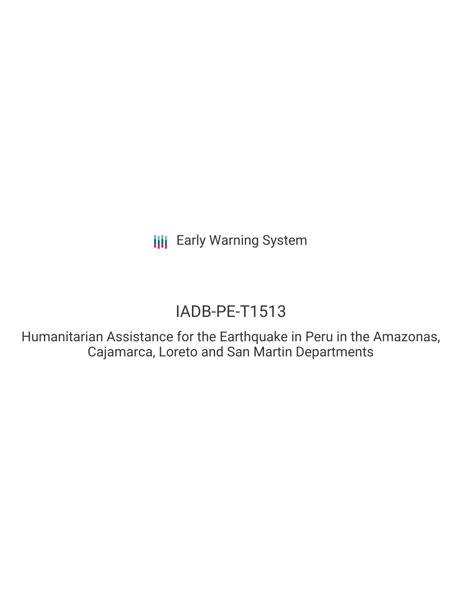**III** Early Warning System

# IADB-PE-T1513

Humanitarian Assistance for the Earthquake in Peru in the Amazonas, Cajamarca, Loreto and San Martin Departments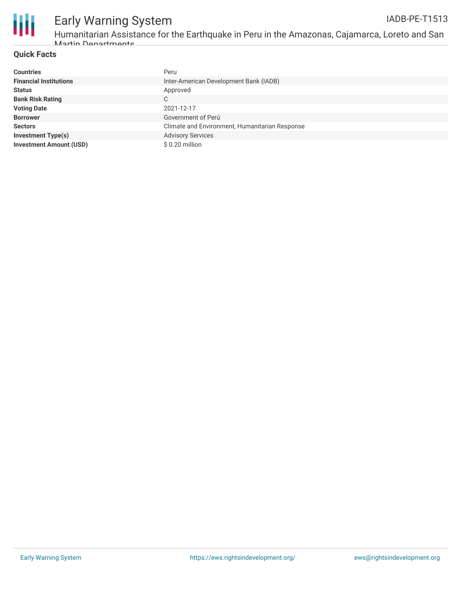

### **Quick Facts**

Martin Departmente

| <b>Countries</b>               | Peru                                           |
|--------------------------------|------------------------------------------------|
| <b>Financial Institutions</b>  | Inter-American Development Bank (IADB)         |
| <b>Status</b>                  | Approved                                       |
| <b>Bank Risk Rating</b>        | C                                              |
| <b>Voting Date</b>             | 2021-12-17                                     |
| <b>Borrower</b>                | Government of Perú                             |
| <b>Sectors</b>                 | Climate and Environment, Humanitarian Response |
| <b>Investment Type(s)</b>      | <b>Advisory Services</b>                       |
| <b>Investment Amount (USD)</b> | \$0.20 million                                 |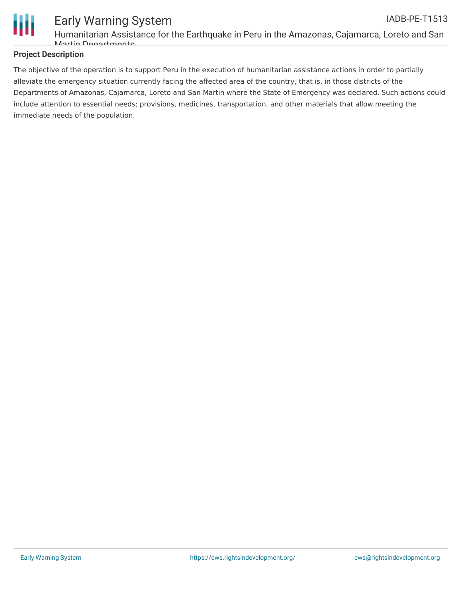

### **Project Description**

The objective of the operation is to support Peru in the execution of humanitarian assistance actions in order to partially alleviate the emergency situation currently facing the affected area of the country, that is, in those districts of the Departments of Amazonas, Cajamarca, Loreto and San Martin where the State of Emergency was declared. Such actions could include attention to essential needs; provisions, medicines, transportation, and other materials that allow meeting the immediate needs of the population.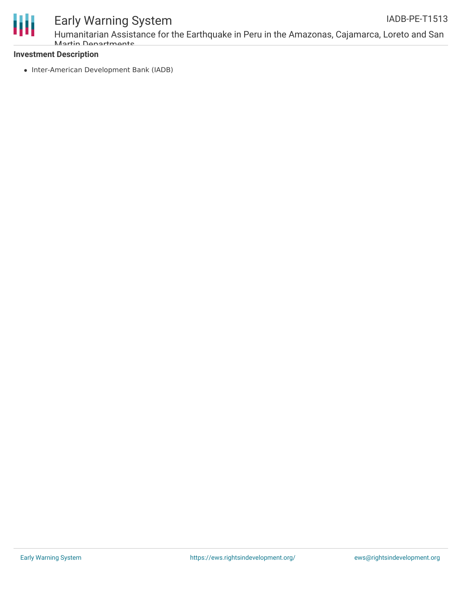

# Early Warning System

Humanitarian Assistance for the Earthquake in Peru in the Amazonas, Cajamarca, Loreto and San Martin Departments

## **Investment Description**

• Inter-American Development Bank (IADB)